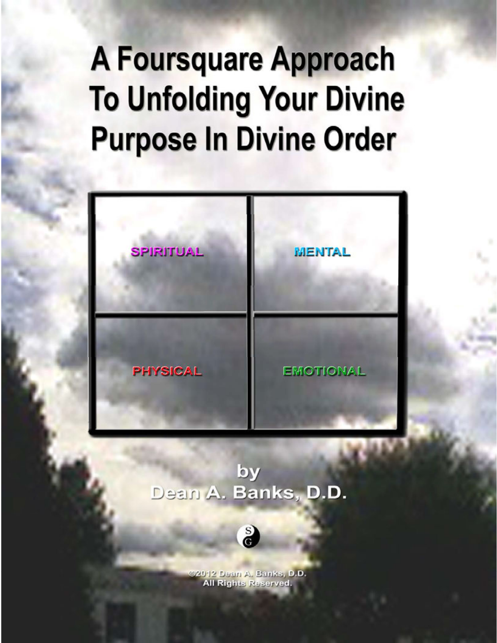

# by Dean A. Banks, D.D.



@2012 Dean A. Banks, D.D. **All Rights Reserved.**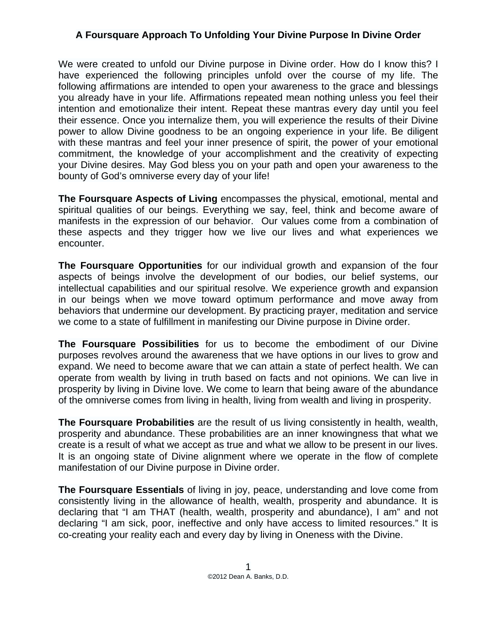We were created to unfold our Divine purpose in Divine order. How do I know this? I have experienced the following principles unfold over the course of my life. The following affirmations are intended to open your awareness to the grace and blessings you already have in your life. Affirmations repeated mean nothing unless you feel their intention and emotionalize their intent. Repeat these mantras every day until you feel their essence. Once you internalize them, you will experience the results of their Divine power to allow Divine goodness to be an ongoing experience in your life. Be diligent with these mantras and feel your inner presence of spirit, the power of your emotional commitment, the knowledge of your accomplishment and the creativity of expecting your Divine desires. May God bless you on your path and open your awareness to the bounty of God's omniverse every day of your life!

**The Foursquare Aspects of Living** encompasses the physical, emotional, mental and spiritual qualities of our beings. Everything we say, feel, think and become aware of manifests in the expression of our behavior. Our values come from a combination of these aspects and they trigger how we live our lives and what experiences we encounter.

**The Foursquare Opportunities** for our individual growth and expansion of the four aspects of beings involve the development of our bodies, our belief systems, our intellectual capabilities and our spiritual resolve. We experience growth and expansion in our beings when we move toward optimum performance and move away from behaviors that undermine our development. By practicing prayer, meditation and service we come to a state of fulfillment in manifesting our Divine purpose in Divine order.

**The Foursquare Possibilities** for us to become the embodiment of our Divine purposes revolves around the awareness that we have options in our lives to grow and expand. We need to become aware that we can attain a state of perfect health. We can operate from wealth by living in truth based on facts and not opinions. We can live in prosperity by living in Divine love. We come to learn that being aware of the abundance of the omniverse comes from living in health, living from wealth and living in prosperity.

**The Foursquare Probabilities** are the result of us living consistently in health, wealth, prosperity and abundance. These probabilities are an inner knowingness that what we create is a result of what we accept as true and what we allow to be present in our lives. It is an ongoing state of Divine alignment where we operate in the flow of complete manifestation of our Divine purpose in Divine order.

**The Foursquare Essentials** of living in joy, peace, understanding and love come from consistently living in the allowance of health, wealth, prosperity and abundance. It is declaring that "I am THAT (health, wealth, prosperity and abundance), I am" and not declaring "I am sick, poor, ineffective and only have access to limited resources." It is co-creating your reality each and every day by living in Oneness with the Divine.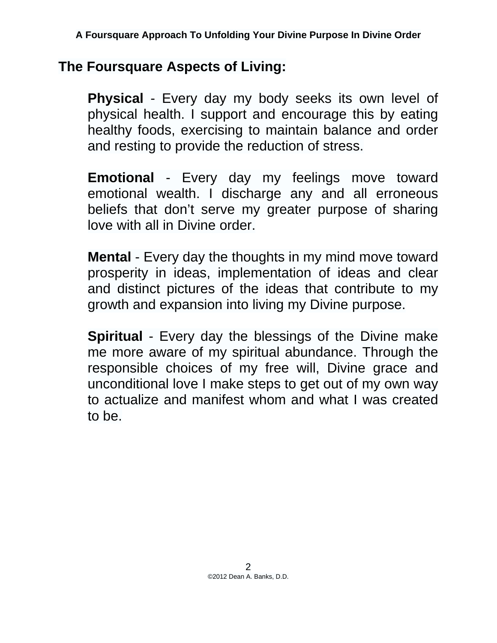# **The Foursquare Aspects of Living:**

**Physical** - Every day my body seeks its own level of physical health. I support and encourage this by eating healthy foods, exercising to maintain balance and order and resting to provide the reduction of stress.

**Emotional** - Every day my feelings move toward emotional wealth. I discharge any and all erroneous beliefs that don't serve my greater purpose of sharing love with all in Divine order.

**Mental** - Every day the thoughts in my mind move toward prosperity in ideas, implementation of ideas and clear and distinct pictures of the ideas that contribute to my growth and expansion into living my Divine purpose.

**Spiritual** - Every day the blessings of the Divine make me more aware of my spiritual abundance. Through the responsible choices of my free will, Divine grace and unconditional love I make steps to get out of my own way to actualize and manifest whom and what I was created to be.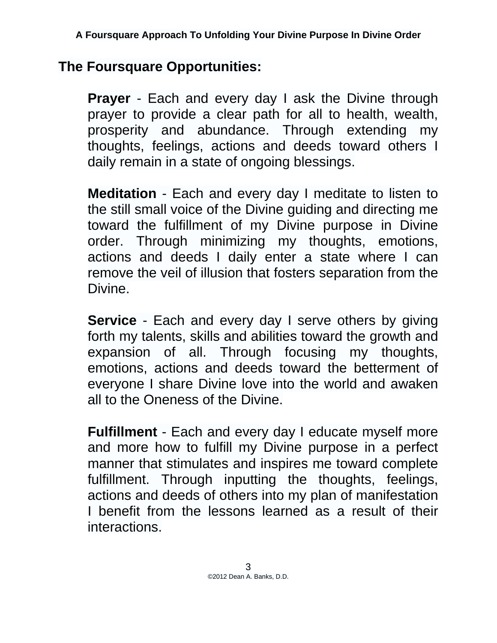# **The Foursquare Opportunities:**

**Prayer** - Each and every day I ask the Divine through prayer to provide a clear path for all to health, wealth, prosperity and abundance. Through extending my thoughts, feelings, actions and deeds toward others I daily remain in a state of ongoing blessings.

**Meditation** - Each and every day I meditate to listen to the still small voice of the Divine guiding and directing me toward the fulfillment of my Divine purpose in Divine order. Through minimizing my thoughts, emotions, actions and deeds I daily enter a state where I can remove the veil of illusion that fosters separation from the Divine.

**Service** - Each and every day I serve others by giving forth my talents, skills and abilities toward the growth and expansion of all. Through focusing my thoughts, emotions, actions and deeds toward the betterment of everyone I share Divine love into the world and awaken all to the Oneness of the Divine.

**Fulfillment** - Each and every day I educate myself more and more how to fulfill my Divine purpose in a perfect manner that stimulates and inspires me toward complete fulfillment. Through inputting the thoughts, feelings, actions and deeds of others into my plan of manifestation I benefit from the lessons learned as a result of their interactions.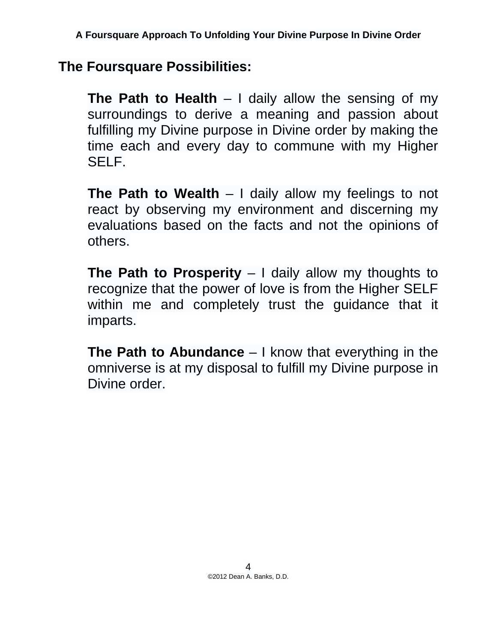# **The Foursquare Possibilities:**

**The Path to Health** – I daily allow the sensing of my surroundings to derive a meaning and passion about fulfilling my Divine purpose in Divine order by making the time each and every day to commune with my Higher SELF.

**The Path to Wealth** – I daily allow my feelings to not react by observing my environment and discerning my evaluations based on the facts and not the opinions of others.

**The Path to Prosperity** – I daily allow my thoughts to recognize that the power of love is from the Higher SELF within me and completely trust the guidance that it imparts.

**The Path to Abundance** – I know that everything in the omniverse is at my disposal to fulfill my Divine purpose in Divine order.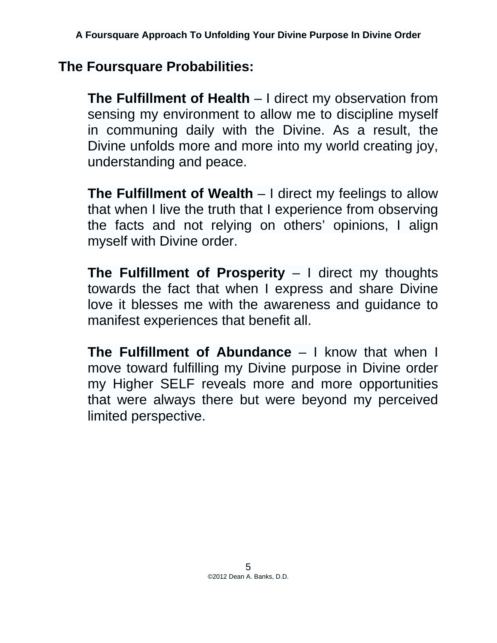# **The Foursquare Probabilities:**

**The Fulfillment of Health** – I direct my observation from sensing my environment to allow me to discipline myself in communing daily with the Divine. As a result, the Divine unfolds more and more into my world creating joy, understanding and peace.

**The Fulfillment of Wealth** – I direct my feelings to allow that when I live the truth that I experience from observing the facts and not relying on others' opinions, I align myself with Divine order.

**The Fulfillment of Prosperity** – I direct my thoughts towards the fact that when I express and share Divine love it blesses me with the awareness and guidance to manifest experiences that benefit all.

**The Fulfillment of Abundance** – I know that when I move toward fulfilling my Divine purpose in Divine order my Higher SELF reveals more and more opportunities that were always there but were beyond my perceived limited perspective.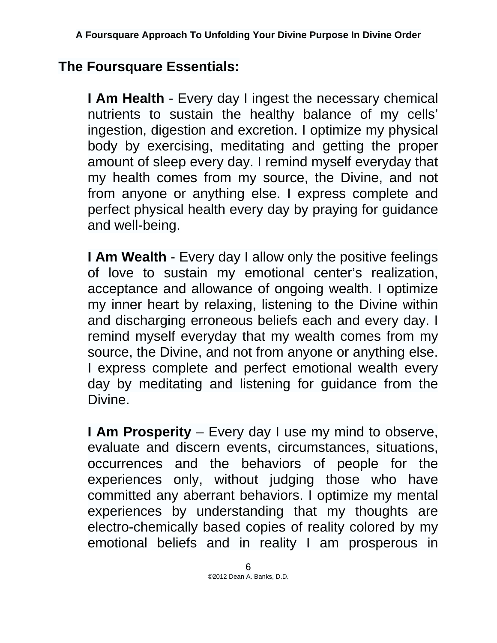# **The Foursquare Essentials:**

**I Am Health** - Every day I ingest the necessary chemical nutrients to sustain the healthy balance of my cells' ingestion, digestion and excretion. I optimize my physical body by exercising, meditating and getting the proper amount of sleep every day. I remind myself everyday that my health comes from my source, the Divine, and not from anyone or anything else. I express complete and perfect physical health every day by praying for guidance and well-being.

**I Am Wealth** - Every day I allow only the positive feelings of love to sustain my emotional center's realization, acceptance and allowance of ongoing wealth. I optimize my inner heart by relaxing, listening to the Divine within and discharging erroneous beliefs each and every day. I remind myself everyday that my wealth comes from my source, the Divine, and not from anyone or anything else. I express complete and perfect emotional wealth every day by meditating and listening for guidance from the Divine.

**I Am Prosperity** – Every day I use my mind to observe, evaluate and discern events, circumstances, situations, occurrences and the behaviors of people for the experiences only, without judging those who have committed any aberrant behaviors. I optimize my mental experiences by understanding that my thoughts are electro-chemically based copies of reality colored by my emotional beliefs and in reality I am prosperous in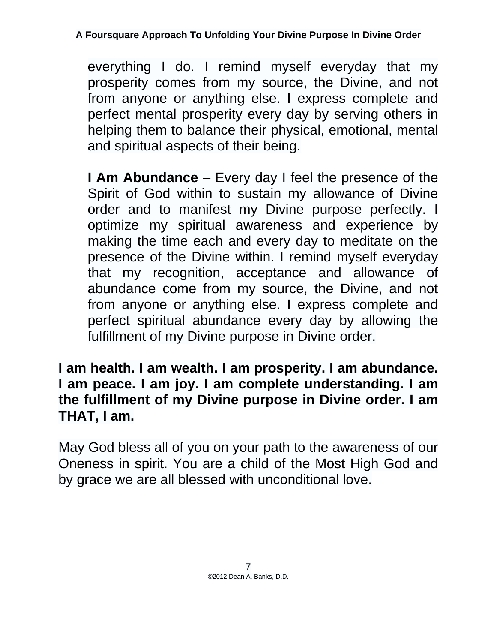everything I do. I remind myself everyday that my prosperity comes from my source, the Divine, and not from anyone or anything else. I express complete and perfect mental prosperity every day by serving others in helping them to balance their physical, emotional, mental and spiritual aspects of their being.

**I Am Abundance** – Every day I feel the presence of the Spirit of God within to sustain my allowance of Divine order and to manifest my Divine purpose perfectly. I optimize my spiritual awareness and experience by making the time each and every day to meditate on the presence of the Divine within. I remind myself everyday that my recognition, acceptance and allowance of abundance come from my source, the Divine, and not from anyone or anything else. I express complete and perfect spiritual abundance every day by allowing the fulfillment of my Divine purpose in Divine order.

**I am health. I am wealth. I am prosperity. I am abundance. I am peace. I am joy. I am complete understanding. I am the fulfillment of my Divine purpose in Divine order. I am THAT, I am.** 

May God bless all of you on your path to the awareness of our Oneness in spirit. You are a child of the Most High God and by grace we are all blessed with unconditional love.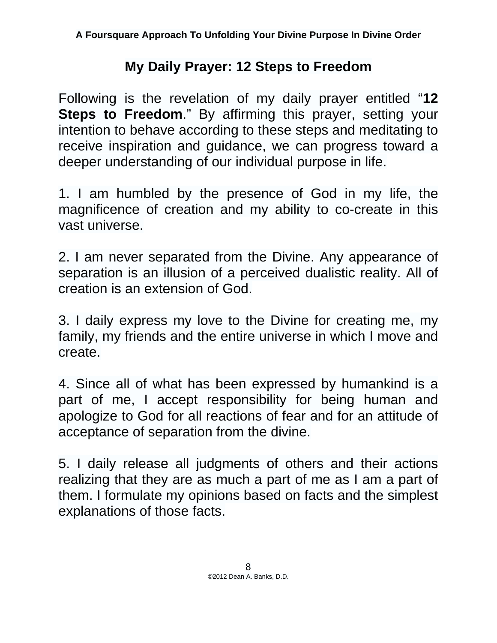# **My Daily Prayer: 12 Steps to Freedom**

Following is the revelation of my daily prayer entitled "**12 Steps to Freedom**." By affirming this prayer, setting your intention to behave according to these steps and meditating to receive inspiration and guidance, we can progress toward a deeper understanding of our individual purpose in life.

1. I am humbled by the presence of God in my life, the magnificence of creation and my ability to co-create in this vast universe.

2. I am never separated from the Divine. Any appearance of separation is an illusion of a perceived dualistic reality. All of creation is an extension of God.

3. I daily express my love to the Divine for creating me, my family, my friends and the entire universe in which I move and create.

4. Since all of what has been expressed by humankind is a part of me, I accept responsibility for being human and apologize to God for all reactions of fear and for an attitude of acceptance of separation from the divine.

5. I daily release all judgments of others and their actions realizing that they are as much a part of me as I am a part of them. I formulate my opinions based on facts and the simplest explanations of those facts.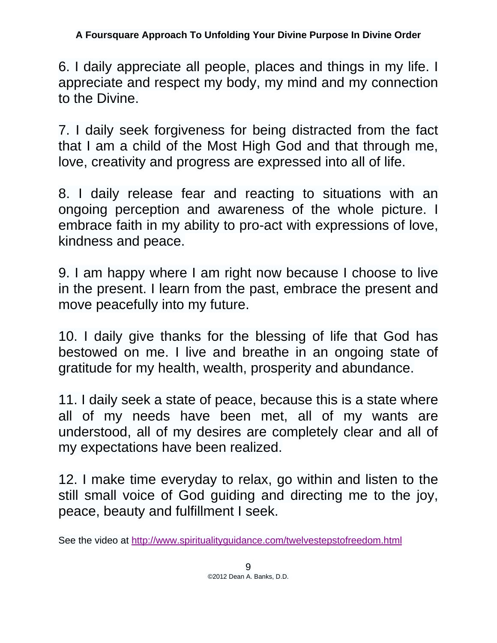6. I daily appreciate all people, places and things in my life. I appreciate and respect my body, my mind and my connection to the Divine.

7. I daily seek forgiveness for being distracted from the fact that I am a child of the Most High God and that through me, love, creativity and progress are expressed into all of life.

8. I daily release fear and reacting to situations with an ongoing perception and awareness of the whole picture. I embrace faith in my ability to pro-act with expressions of love, kindness and peace.

9. I am happy where I am right now because I choose to live in the present. I learn from the past, embrace the present and move peacefully into my future.

10. I daily give thanks for the blessing of life that God has bestowed on me. I live and breathe in an ongoing state of gratitude for my health, wealth, prosperity and abundance.

11. I daily seek a state of peace, because this is a state where all of my needs have been met, all of my wants are understood, all of my desires are completely clear and all of my expectations have been realized.

12. I make time everyday to relax, go within and listen to the still small voice of God guiding and directing me to the joy, peace, beauty and fulfillment I seek.

See the video at http://www.spiritualityguidance.com/twelvestepstofreedom.html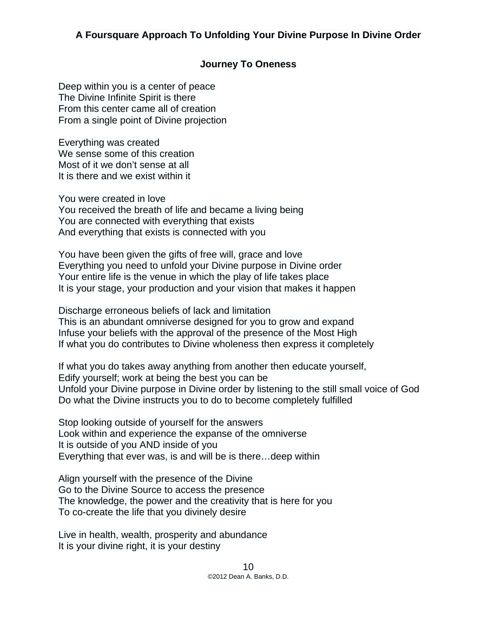## **Journey To Oneness**

Deep within you is a center of peace The Divine Infinite Spirit is there From this center came all of creation From a single point of Divine projection

Everything was created We sense some of this creation Most of it we don't sense at all It is there and we exist within it

You were created in love You received the breath of life and became a living being You are connected with everything that exists And everything that exists is connected with you

You have been given the gifts of free will, grace and love Everything you need to unfold your Divine purpose in Divine order Your entire life is the venue in which the play of life takes place It is your stage, your production and your vision that makes it happen

Discharge erroneous beliefs of lack and limitation This is an abundant omniverse designed for you to grow and expand Infuse your beliefs with the approval of the presence of the Most High If what you do contributes to Divine wholeness then express it completely

If what you do takes away anything from another then educate yourself, Edify yourself; work at being the best you can be Unfold your Divine purpose in Divine order by listening to the still small voice of God Do what the Divine instructs you to do to become completely fulfilled

Stop looking outside of yourself for the answers Look within and experience the expanse of the omniverse It is outside of you AND inside of you Everything that ever was, is and will be is there…deep within

Align yourself with the presence of the Divine Go to the Divine Source to access the presence The knowledge, the power and the creativity that is here for you To co-create the life that you divinely desire

Live in health, wealth, prosperity and abundance It is your divine right, it is your destiny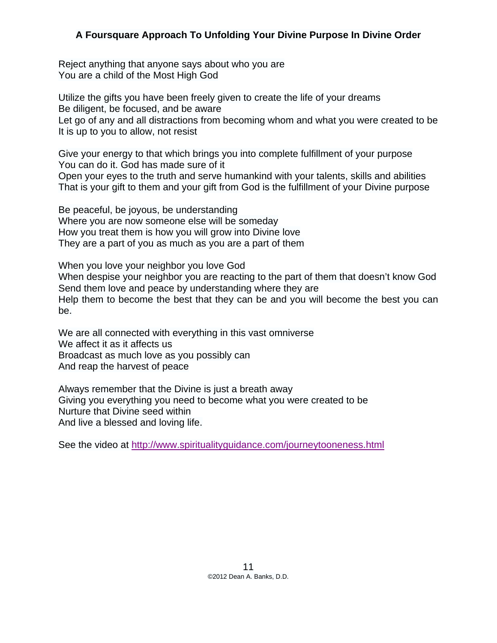Reject anything that anyone says about who you are You are a child of the Most High God

Utilize the gifts you have been freely given to create the life of your dreams Be diligent, be focused, and be aware Let go of any and all distractions from becoming whom and what you were created to be It is up to you to allow, not resist

Give your energy to that which brings you into complete fulfillment of your purpose You can do it. God has made sure of it Open your eyes to the truth and serve humankind with your talents, skills and abilities That is your gift to them and your gift from God is the fulfillment of your Divine purpose

Be peaceful, be joyous, be understanding Where you are now someone else will be someday How you treat them is how you will grow into Divine love They are a part of you as much as you are a part of them

When you love your neighbor you love God When despise your neighbor you are reacting to the part of them that doesn't know God Send them love and peace by understanding where they are Help them to become the best that they can be and you will become the best you can be.

We are all connected with everything in this vast omniverse We affect it as it affects us Broadcast as much love as you possibly can And reap the harvest of peace

Always remember that the Divine is just a breath away Giving you everything you need to become what you were created to be Nurture that Divine seed within And live a blessed and loving life.

See the video at http://www.spiritualityguidance.com/journeytooneness.html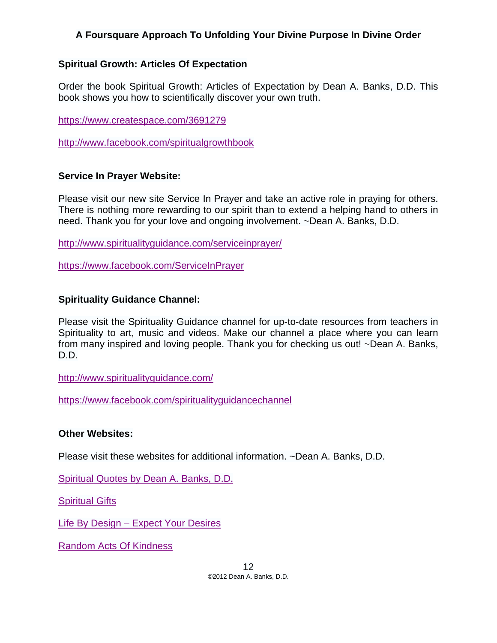#### **Spiritual Growth: Articles Of Expectation**

Order the book Spiritual Growth: Articles of Expectation by Dean A. Banks, D.D. This book shows you how to scientifically discover your own truth.

https://www.createspace.com/3691279

http://www.facebook.com/spiritualgrowthbook

## **Service In Prayer Website:**

Please visit our new site Service In Prayer and take an active role in praying for others. There is nothing more rewarding to our spirit than to extend a helping hand to others in need. Thank you for your love and ongoing involvement. ~Dean A. Banks, D.D.

http://www.spiritualityguidance.com/serviceinprayer/

https://www.facebook.com/ServiceInPrayer

## **Spirituality Guidance Channel:**

Please visit the Spirituality Guidance channel for up-to-date resources from teachers in Spirituality to art, music and videos. Make our channel a place where you can learn from many inspired and loving people. Thank you for checking us out! ~Dean A. Banks, D.D.

http://www.spiritualityguidance.com/

https://www.facebook.com/spiritualityguidancechannel

#### **Other Websites:**

Please visit these websites for additional information. ~Dean A. Banks, D.D.

Spiritual Quotes by Dean A. Banks, D.D.

Spiritual Gifts

Life By Design – Expect Your Desires

Random Acts Of Kindness